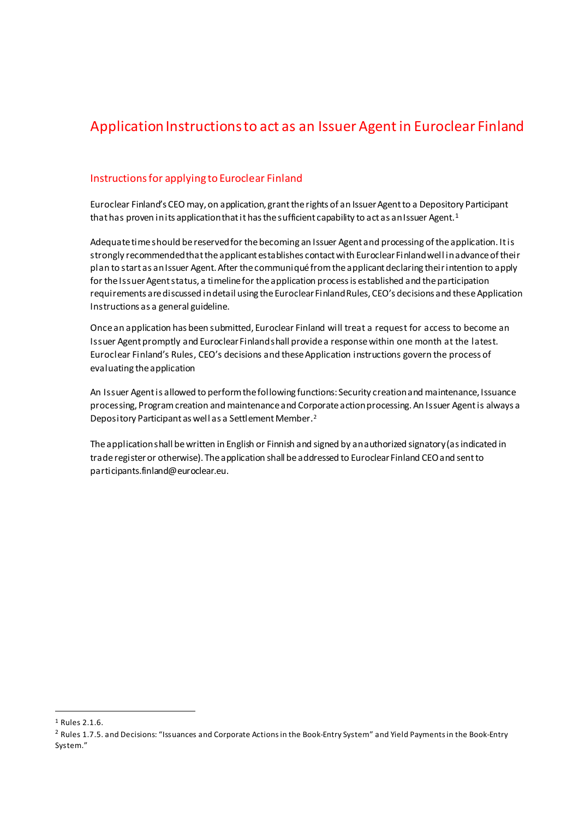# Application Instructions to act as an Issuer Agent in Euroclear Finland

# Instructions for applying to Euroclear Finland

Euroclear Finland's CEO may, on application, grantthe rights of an Issuer Agent to a Depository Participant that has proven in its application that it has the sufficient capability to act as an Issuer Agent.<sup>[1](#page-0-0)</sup>

Adequate time should be reservedfor the becoming an Issuer Agent and processing of the application. It is strongly recommended that the applicant establishes contact with Euroclear Finland well in advance of their plan to start as an Issuer Agent. After the communiqué from the applicantdeclaring their intention to apply for the Issuer Agent status, a timeline for the application process is established and the participation requirements are discussed in detail using the Euroclear Finland Rules, CEO's decisions and these Application Instructions as a general guideline.

Once an application has been submitted, Euroclear Finland will treat a request for access to become an Issuer Agent promptly and Euroclear Finland shall provide a response within one month at the latest. Euroclear Finland's Rules, CEO's decisions and these Application instructions govern the process of evaluating the application

An Issuer Agent is allowed to perform the following functions: Security creation and maintenance, Issuance processing, Program creation and maintenance and Corporate action processing. An Issuer Agent is always a Depository Participant as well as a Settlement Member[.2](#page-0-1)

The application shall be written in English or Finnish and signed by an authorized signatory (as indicated in trade register or otherwise). The application shall be addressed to Euroclear Finland CEO and sent to participants.finland@euroclear.eu.

<span id="page-0-0"></span> <sup>1</sup> Rules 2.1.6.

<span id="page-0-1"></span><sup>&</sup>lt;sup>2</sup> Rules 1.7.5. and Decisions: "Issuances and Corporate Actions in the Book-Entry System" and Yield Payments in the Book-Entry System."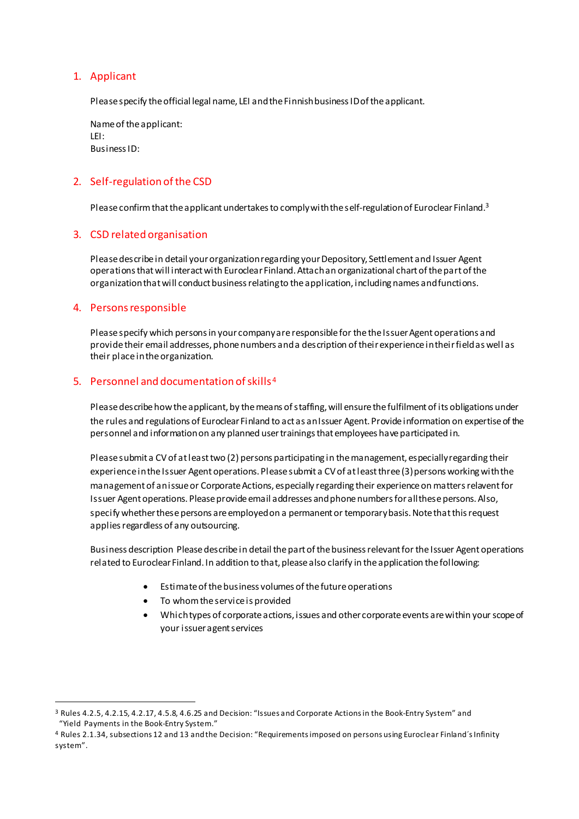# 1. Applicant

Please specify the official legal name, LEI and the Finnish business ID of the applicant.

Name of the applicant: LEI: Business ID:

# 2. Self-regulation of the CSD

Please confirm that the applicant undertakes to comply with the self-regulation of Euroclear Finland.<sup>[3](#page-1-0)</sup>

## 3. CSD related organisation

Please describe in detail your organization regarding your Depository, Settlement and Issuer Agent operations that will interact with Euroclear Finland. Attach an organizational chart of the part of the organization that will conduct business relating to the application, including names and functions.

#### 4. Persons responsible

Please specify which persons in your company are responsible for the the Issuer Agent operations and provide their email addresses, phone numbers and a description of their experience in their field as well as their place in the organization.

## 5. Personnel and documentation of skills[4](#page-1-1)

Please describe how the applicant, by the means of staffing, will ensure the fulfilment of its obligations under the rules and regulations of Euroclear Finland to act as an Issuer Agent. Provide information on expertise of the personnel and information on any planned user trainings that employees have participated in.

Please submit a CV of at least two (2) persons participating in the management, especially regarding their experience in the Issuer Agent operations. Please submit a CV of at least three (3) persons working with the management of an issue or Corporate Actions, especially regarding their experienceon matters relavent for Issuer Agent operations. Please provide email addresses and phone numbers for all these persons.Also, specify whether these persons are employedon a permanent or temporary basis. Note that this request applies regardless of any outsourcing.

Business description Please describe in detail the part of the business relevant for the Issuer Agent operations related to Euroclear Finland. In addition to that, please also clarify in the application the following:

- Estimate of the business volumes of the future operations
- To whom the service is provided
- Which types of corporate actions, issues and other corporate events are within your scope of your issuer agent services

<span id="page-1-0"></span> <sup>3</sup> Rules 4.2.5, 4.2.15, 4.2.17, 4.5.8, 4.6.25 and Decision: "Issues and Corporate Actions in the Book-Entry System" and "Yield Payments in the Book-Entry System."

<span id="page-1-1"></span><sup>4</sup> Rules 2.1.34, subsections 12 and 13 and the Decision: "Requirements imposed on persons using Euroclear Finland´s Infinity system".